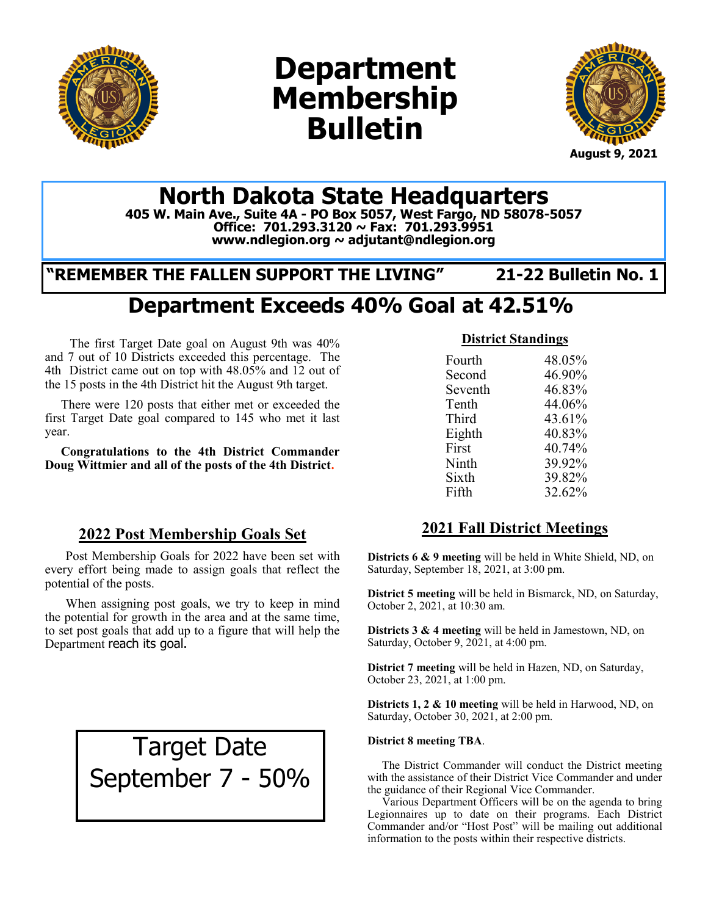

# **Department Membership Bulletin**



## **North Dakota State Headquarters**

**405 W. Main Ave., Suite 4A - PO Box 5057, West Fargo, ND 58078-5057 Office: 701.293.3120 ~ Fax: 701.293.9951 www.ndlegion.org ~ adjutant@ndlegion.org**

## **"REMEMBER THE FALLEN SUPPORT THE LIVING" 21-22 Bulletin No. 1**

## **Department Exceeds 40% Goal at 42.51%**

The first Target Date goal on August 9th was 40% and 7 out of 10 Districts exceeded this percentage. The 4th District came out on top with 48.05% and 12 out of the 15 posts in the 4th District hit the August 9th target.

 There were 120 posts that either met or exceeded the first Target Date goal compared to 145 who met it last year.

 **Congratulations to the 4th District Commander Doug Wittmier and all of the posts of the 4th District.** 

#### **2022 Post Membership Goals Set**

Post Membership Goals for 2022 have been set with every effort being made to assign goals that reflect the potential of the posts.

When assigning post goals, we try to keep in mind the potential for growth in the area and at the same time, to set post goals that add up to a figure that will help the Department reach its goal.

> Target Date September 7 - 50%

#### **District Standings**

| Fourth  | 48.05% |
|---------|--------|
| Second  | 46.90% |
| Seventh | 46.83% |
| Tenth   | 44.06% |
| Third   | 43.61% |
| Eighth  | 40.83% |
| First   | 40.74% |
| Ninth   | 39.92% |
| Sixth   | 39.82% |
| Fifth   | 32.62% |
|         |        |

#### **2021 Fall District Meetings**

**Districts 6 & 9 meeting** will be held in White Shield, ND, on Saturday, September 18, 2021, at 3:00 pm.

**District 5 meeting** will be held in Bismarck, ND, on Saturday, October 2, 2021, at 10:30 am.

**Districts 3 & 4 meeting** will be held in Jamestown, ND, on Saturday, October 9, 2021, at 4:00 pm.

**District 7 meeting** will be held in Hazen, ND, on Saturday, October 23, 2021, at 1:00 pm.

**Districts 1, 2 & 10 meeting** will be held in Harwood, ND, on Saturday, October 30, 2021, at 2:00 pm.

#### **District 8 meeting TBA**.

 The District Commander will conduct the District meeting with the assistance of their District Vice Commander and under the guidance of their Regional Vice Commander.

 Various Department Officers will be on the agenda to bring Legionnaires up to date on their programs. Each District Commander and/or "Host Post" will be mailing out additional information to the posts within their respective districts.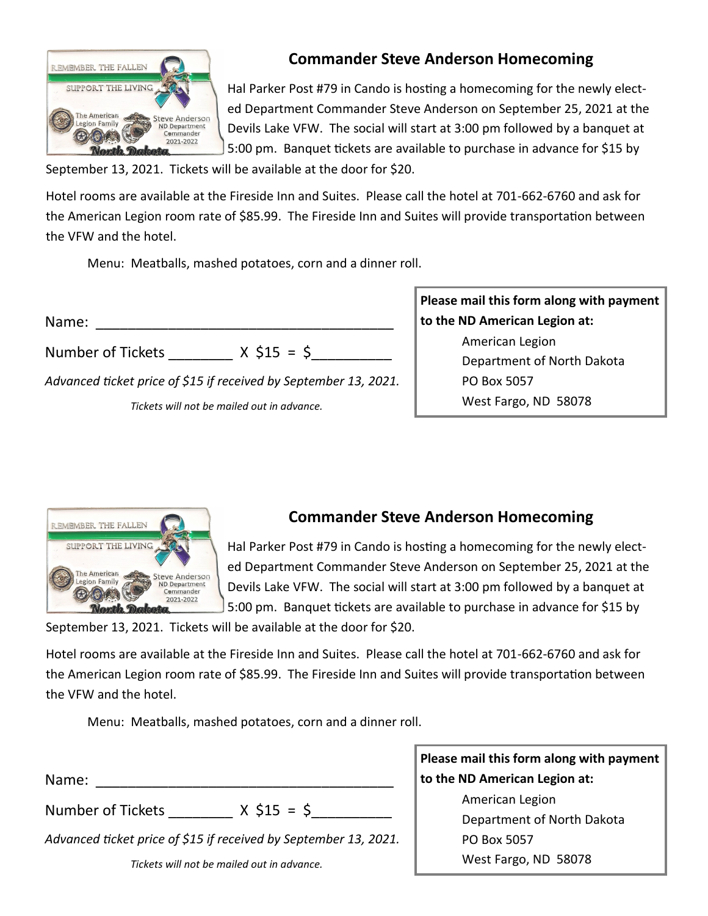

## **Commander Steve Anderson Homecoming**

Hal Parker Post #79 in Cando is hosting a homecoming for the newly elected Department Commander Steve Anderson on September 25, 2021 at the Devils Lake VFW. The social will start at 3:00 pm followed by a banquet at 5:00 pm. Banquet tickets are available to purchase in advance for \$15 by

September 13, 2021. Tickets will be available at the door for \$20.

Hotel rooms are available at the Fireside Inn and Suites. Please call the hotel at 701-662-6760 and ask for the American Legion room rate of \$85.99. The Fireside Inn and Suites will provide transportation between the VFW and the hotel.

Menu: Meatballs, mashed potatoes, corn and a dinner roll.

| Name:                                                            |
|------------------------------------------------------------------|
| $X$ \$15 = \$<br><b>Number of Tickets</b>                        |
| Advanced ticket price of \$15 if received by September 13, 2021. |
| Tickets will not be mailed out in advance.                       |

**Please mail this form along with payment to the ND American Legion at:** American Legion Department of North Dakota PO Box 5057 West Fargo, ND 58078



#### **Commander Steve Anderson Homecoming**

Hal Parker Post #79 in Cando is hosting a homecoming for the newly elected Department Commander Steve Anderson on September 25, 2021 at the Devils Lake VFW. The social will start at 3:00 pm followed by a banquet at 5:00 pm. Banquet tickets are available to purchase in advance for \$15 by

September 13, 2021. Tickets will be available at the door for \$20.

Hotel rooms are available at the Fireside Inn and Suites. Please call the hotel at 701-662-6760 and ask for the American Legion room rate of \$85.99. The Fireside Inn and Suites will provide transportation between the VFW and the hotel.

Menu: Meatballs, mashed potatoes, corn and a dinner roll.

|                                                                  | Please mail this form along with payment |
|------------------------------------------------------------------|------------------------------------------|
| Name:                                                            | to the ND American Legion at:            |
|                                                                  | American Legion                          |
| Number of Tickets<br>$X$ \$15 = \$                               | Department of North Dakota               |
| Advanced ticket price of \$15 if received by September 13, 2021. | PO Box 5057                              |
| Tickets will not be mailed out in advance.                       | West Fargo, ND 58078                     |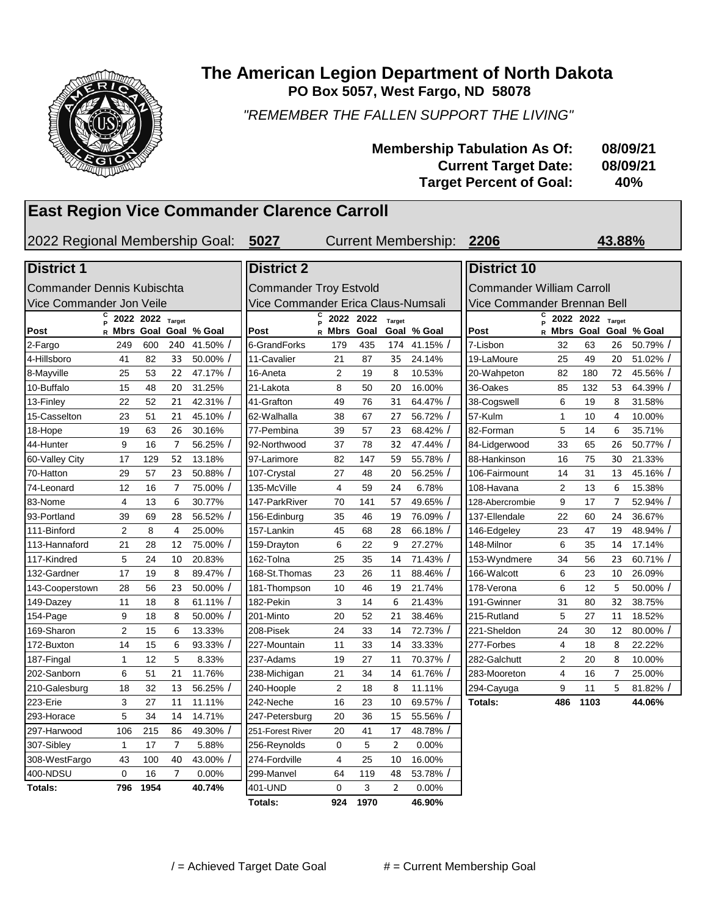

#### **The American Legion Department of North Dakota PO Box 5057, West Fargo, ND 58078**

*"REMEMBER THE FALLEN SUPPORT THE LIVING"*

| <b>Membership Tabulation As Of:</b> | 08/09/21 |
|-------------------------------------|----------|
| <b>Current Target Date:</b>         | 08/09/21 |
| <b>Target Percent of Goal:</b>      | 40%      |

### **East Region Vice Commander Clarence Carroll**

2022 Regional Membership Goal: **5027 2206** Current Membership: **43.88%**

| <b>District 1</b>          |                |                  |                                                                   |             | <b>District 2</b> |                                    |           |                |              | <b>District 10</b> |                             |                  |                |             |
|----------------------------|----------------|------------------|-------------------------------------------------------------------|-------------|-------------------|------------------------------------|-----------|----------------|--------------|--------------------|-----------------------------|------------------|----------------|-------------|
| Commander Dennis Kubischta |                |                  | <b>Commander Troy Estvold</b><br><b>Commander William Carroll</b> |             |                   |                                    |           |                |              |                    |                             |                  |                |             |
| Vice Commander Jon Veile   |                |                  |                                                                   |             |                   | Vice Commander Erica Claus-Numsali |           |                |              |                    | Vice Commander Brennan Bell |                  |                |             |
|                            |                | 2022 2022 Target |                                                                   |             |                   |                                    | 2022 2022 | Target         |              |                    |                             | 2022 2022 Target |                |             |
| Post                       | R Mbrs Goal    |                  |                                                                   | Goal % Goal | Post              | R Mbrs                             | Goal      |                | Goal % Goal  | Post               | R Mbrs Goal                 |                  |                | Goal % Goal |
| 2-Fargo                    | 249            | 600              | 240                                                               | 41.50%      | 6-GrandForks      | 179                                | 435       |                | 174 41.15% / | 7-Lisbon           | 32                          | 63               | 26             | 50.79%      |
| 4-Hillsboro                | 41             | 82               | 33                                                                | 50.00%      | 11-Cavalier       | 21                                 | 87        | 35             | 24.14%       | 19-LaMoure         | 25                          | 49               | 20             | 51.02%      |
| 8-Mayville                 | 25             | 53               | 22                                                                | 47.17% /    | 16-Aneta          | $\overline{2}$                     | 19        | 8              | 10.53%       | 20-Wahpeton        | 82                          | 180              | 72             | 45.56%      |
| 10-Buffalo                 | 15             | 48               | 20                                                                | 31.25%      | 21-Lakota         | 8                                  | 50        | 20             | 16.00%       | 36-Oakes           | 85                          | 132              | 53             | 64.39%      |
| 13-Finlev                  | 22             | 52               | 21                                                                | 42.31%      | 41-Grafton        | 49                                 | 76        | 31             | 64.47%       | 38-Cogswell        | 6                           | 19               | 8              | 31.58%      |
| 15-Casselton               | 23             | 51               | 21                                                                | 45.10%      | 62-Walhalla       | 38                                 | 67        | 27             | 56.72%       | 57-Kulm            | $\mathbf{1}$                | 10               | $\overline{4}$ | 10.00%      |
| 18-Hope                    | 19             | 63               | 26                                                                | 30.16%      | 77-Pembina        | 39                                 | 57        | 23             | 68.42%       | 82-Forman          | 5                           | 14               | 6              | 35.71%      |
| 44-Hunter                  | 9              | 16               | $\overline{7}$                                                    | 56.25%      | 92-Northwood      | 37                                 | 78        | 32             | 47.44%       | 84-Lidgerwood      | 33                          | 65               | 26             | 50.77% /    |
| 60-Valley City             | 17             | 129              | 52                                                                | 13.18%      | 97-Larimore       | 82                                 | 147       | 59             | 55.78%       | 88-Hankinson       | 16                          | 75               | 30             | 21.33%      |
| 70-Hatton                  | 29             | 57               | 23                                                                | 50.88%      | 107-Crystal       | 27                                 | 48        | 20             | 56.25%       | 106-Fairmount      | 14                          | 31               | 13             | 45.16%      |
| 74-Leonard                 | 12             | 16               | 7                                                                 | 75.00%      | 135-McVille       | 4                                  | 59        | 24             | 6.78%        | 108-Havana         | $\overline{2}$              | 13               | 6              | 15.38%      |
| 83-Nome                    | 4              | 13               | 6                                                                 | 30.77%      | 147-ParkRiver     | 70                                 | 141       | 57             | 49.65%       | 128-Abercrombie    | 9                           | 17               | 7              | 52.94%      |
| 93-Portland                | 39             | 69               | 28                                                                | 56.52%      | 156-Edinburg      | 35                                 | 46        | 19             | 76.09%       | 137-Ellendale      | 22                          | 60               | 24             | 36.67%      |
| 111-Binford                | $\overline{2}$ | 8                | 4                                                                 | 25.00%      | 157-Lankin        | 45                                 | 68        | 28             | 66.18%       | 146-Edgeley        | 23                          | 47               | 19             | 48.94%      |
| 113-Hannaford              | 21             | 28               | 12                                                                | 75.00%      | 159-Drayton       | 6                                  | 22        | 9              | 27.27%       | 148-Milnor         | 6                           | 35               | 14             | 17.14%      |
| 117-Kindred                | 5              | 24               | 10                                                                | 20.83%      | 162-Tolna         | 25                                 | 35        | 14             | 71.43%       | 153-Wyndmere       | 34                          | 56               | 23             | 60.71%      |
| 132-Gardner                | 17             | 19               | 8                                                                 | 89.47%      | 168-St. Thomas    | 23                                 | 26        | 11             | 88.46%       | 166-Walcott        | 6                           | 23               | 10             | 26.09%      |
| 143-Cooperstown            | 28             | 56               | 23                                                                | 50.00%      | 181-Thompson      | 10                                 | 46        | 19             | 21.74%       | 178-Verona         | 6                           | 12               | 5              | 50.00%      |
| 149-Dazey                  | 11             | 18               | 8                                                                 | 61.11%      | 182-Pekin         | 3                                  | 14        | 6              | 21.43%       | 191-Gwinner        | 31                          | 80               | 32             | 38.75%      |
| 154-Page                   | 9              | 18               | 8                                                                 | 50.00%      | 201-Minto         | 20                                 | 52        | 21             | 38.46%       | 215-Rutland        | 5                           | 27               | 11             | 18.52%      |
| 169-Sharon                 | $\overline{2}$ | 15               | 6                                                                 | 13.33%      | 208-Pisek         | 24                                 | 33        | 14             | 72.73%       | 221-Sheldon        | 24                          | 30               | 12             | 80.00%      |
| 172-Buxton                 | 14             | 15               | 6                                                                 | 93.33%      | 227-Mountain      | 11                                 | 33        | 14             | 33.33%       | 277-Forbes         | 4                           | 18               | 8              | 22.22%      |
| 187-Fingal                 | 1              | 12               | 5                                                                 | 8.33%       | 237-Adams         | 19                                 | 27        | 11             | 70.37%       | 282-Galchutt       | $\overline{2}$              | 20               | 8              | 10.00%      |
| 202-Sanborn                | 6              | 51               | 21                                                                | 11.76%      | 238-Michigan      | 21                                 | 34        | 14             | 61.76%       | 283-Mooreton       | $\overline{4}$              | 16               | 7              | 25.00%      |
| 210-Galesburg              | 18             | 32               | 13                                                                | 56.25%      | 240-Hoople        | $\overline{2}$                     | 18        | 8              | 11.11%       | 294-Cayuga         | 9                           | 11               | 5              | 81.82%      |
| 223-Erie                   | 3              | 27               | 11                                                                | 11.11%      | 242-Neche         | 16                                 | 23        | 10             | 69.57% /     | Totals:            | 486                         | 1103             |                | 44.06%      |
| 293-Horace                 | 5              | 34               | 14                                                                | 14.71%      | 247-Petersburg    | 20                                 | 36        | 15             | 55.56% /     |                    |                             |                  |                |             |
| 297-Harwood                | 106            | 215              | 86                                                                | 49.30%      | 251-Forest River  | 20                                 | 41        | 17             | 48.78%       |                    |                             |                  |                |             |
| 307-Sibley                 | 1              | 17               | $\overline{7}$                                                    | 5.88%       | 256-Reynolds      | 0                                  | 5         | $\overline{2}$ | 0.00%        |                    |                             |                  |                |             |
| 308-WestFargo              | 43             | 100              | 40                                                                | 43.00%      | 274-Fordville     | 4                                  | 25        | 10             | 16.00%       |                    |                             |                  |                |             |
| 400-NDSU                   | 0              | 16               | $\overline{7}$                                                    | 0.00%       | 299-Manvel        | 64                                 | 119       | 48             | 53.78% /     |                    |                             |                  |                |             |
| Totals:                    | 796            | 1954             |                                                                   | 40.74%      | 401-UND           | $\Omega$                           | 3         | $\overline{2}$ | 0.00%        |                    |                             |                  |                |             |

**Totals: 924 1970 46.90%**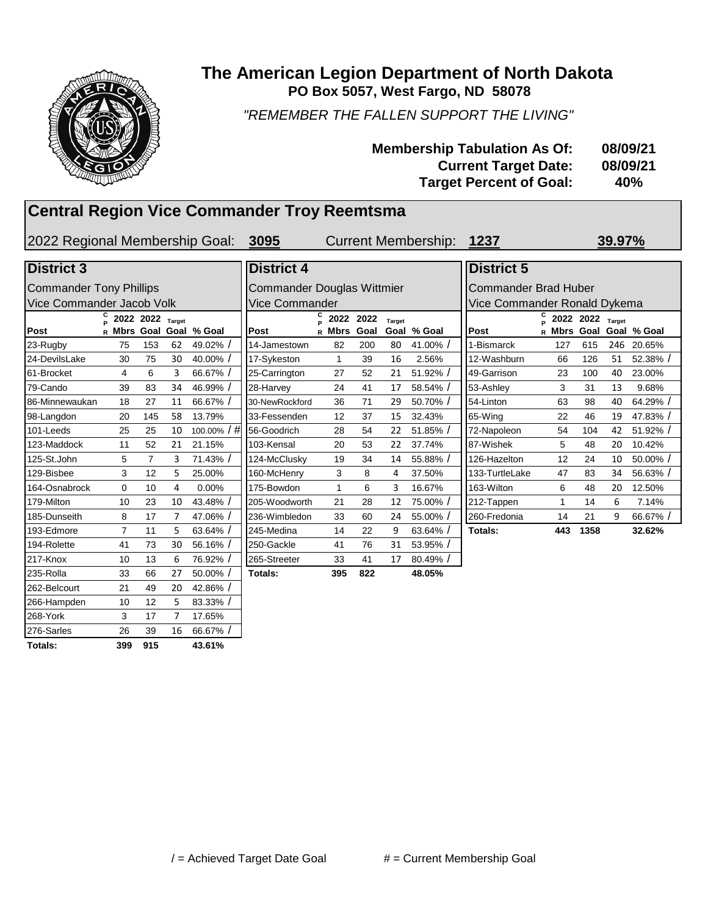

#### **PO Box 5057, West Fargo, ND 58078 The American Legion Department of North Dakota**

*"REMEMBER THE FALLEN SUPPORT THE LIVING"*

| <b>Membership Tabulation As Of:</b> | 08/09/21 |
|-------------------------------------|----------|
| <b>Current Target Date:</b>         | 08/09/21 |
| <b>Target Percent of Goal:</b>      | 40%      |

### **Central Region Vice Commander Troy Reemtsma**

2022 Regional Membership Goal: **3095 1237**

Current Membership: **39.97%**

#### **Post C P 2022 2022 Target R Mbrs Goal Goal % Goal Post** 23-Rugby 75 153 62 49.02% / | 14-Jamestown 82 200 80 41.00% / | | 1-Bismarck 127 615 246 20.65% 24-DevilsLake 30 75 30 40.00% / ||17-Sykeston 1 39 16 2.56% ||12-Washburn 66 126 51 52.38% / 61-Brocket 4 6 3 66.67% / 25-Carrington 27 52 21 51.92% / 49-Garrison 23 100 40 23.00% 79-Cando 39 83 34 46.99% / 28-Harvey 24 41 17 58.54% / 53-Ashley 3 31 13 9.68% 86-Minnewaukan 18 27 11 66.67% | 30-NewRockford 36 71 29 50.70% | 54-Linton 63 98 40 64.29% / 98-Langdon 20 145 58 13.79% 33-Fessenden 12 37 15 32.43% 65-Wing 22 46 19 47.83% / 101-Leeds 25 25 10 100.00% / # 56-Goodrich 28 54 22 51.85% / 72-Napoleon 54 104 42 51.92% / 123-Maddock 11 52 21 21.15% 103-Kensal 20 53 22 37.74% 87-Wishek 5 48 20 10.42% 125-St.John 5 7 3 71.43% | 124-McClusky 19 34 14 55.88% | 126-Hazelton 12 24 10 50.00% / 129-Bisbee 3 12 5 25.00% 1600-McHenry 3 8 4 37.50% 133-TurtleLake 47 83 34 56.63% / 164-Osnabrock 0 10 4 0.00% | |175-Bowdon 1 6 3 16.67% | |163-Wilton 6 48 20 12.50% 179-Milton 10 23 10 43.48% / 205-Woodworth 21 28 12 75.00% / 212-Tappen 1 14 6 7.14% 185-Dunseith 8 17 7 47.06% | 236-Wimbledon 33 60 24 55.00% | 260-Fredonia 14 21 9 66.67% / 193-Edmore 7 11 5 63.64% / 245-Medina 14 22 9 63.64% / **Totals: 443 1358 32.62%** 194-Rolette 41 73 30 56.16% / 250-Gackle 41 76 31 53.95% / 217-Knox 10 13 6 76.92% / 265-Streeter 33 41 17 80.49% / 235-Rolla 33 66 27 50.00% / **Totals: 395 822 48.05%** 262-Belcourt 21 49 20 42.86% / 266-Hampden 10 12 5 83.33% / 268-York 3 17 7 17.65% 276-Sarles 26 39 16 66.67% / **Totals: 399 915 43.61%** Commander Tony Phillips Vice Commander Jacob Volk **District 3 District 4 District 5**

| <b>District 4</b>                 |        |             |      |               |             | Dis     |  |  |  |  |
|-----------------------------------|--------|-------------|------|---------------|-------------|---------|--|--|--|--|
| Commander Douglas Wittmier<br>Con |        |             |      |               |             |         |  |  |  |  |
| Vice Commander                    |        |             |      |               |             |         |  |  |  |  |
|                                   | С<br>Þ | 2022        | 2022 | <b>Target</b> |             |         |  |  |  |  |
| Post                              | R      | <b>Mbrs</b> | Goal |               | Goal % Goal | Post    |  |  |  |  |
| 14-Jamestown                      |        | 82          | 200  | 80            | 41.00% /    | 1-Bis   |  |  |  |  |
| 17-Sykeston                       |        | 1           | 39   | 16            | 2.56%       | $12-N$  |  |  |  |  |
| 25-Carrington                     |        | 27          | 52   | 21            | $51.92\%$ / | 49-G    |  |  |  |  |
| 28-Harvey                         |        | 24          | 41   | 17            | 58.54% /    | $53-A$  |  |  |  |  |
| 30-NewRockford                    |        | 36          | 71   | 29            | 50.70% /    | 54-Li   |  |  |  |  |
| 33-Fessenden                      |        | 12          | 37   | 15            | 32.43%      | 65-W    |  |  |  |  |
| 56-Goodrich                       |        | 28          | 54   | 22            | $51.85\%$ / | 72-N    |  |  |  |  |
| 103-Kensal                        |        | 20          | 53   | 22            | 37.74%      | 87-W    |  |  |  |  |
| 124-McClusky                      |        | 19          | 34   | 14            | 55.88% /    | $126 -$ |  |  |  |  |
| 160-McHenry                       |        | 3           | 8    | 4             | 37.50%      | $133 -$ |  |  |  |  |
| 175-Bowdon                        |        | 1           | 6    | 3             | 16.67%      | $163 -$ |  |  |  |  |
| 205-Woodworth                     |        | 21          | 28   | 12            | 75.00% /    | $212 -$ |  |  |  |  |
| 236-Wimbledon                     |        | 33          | 60   | 24            | 55.00% /    | 260-l   |  |  |  |  |
| 245-Medina                        |        | 14          | 22   | 9             | $63.64\%$ / | Tota    |  |  |  |  |
| 250-Gackle                        |        | 41          | 76   | 31            | 53.95% /    |         |  |  |  |  |
| 265-Streeter                      |        | 33          | 41   | 17            | 80.49%      |         |  |  |  |  |
| Totals:                           |        | 395         | 822  |               | 48.05%      |         |  |  |  |  |

| <b>District 5</b>                                                                   |  |     |      |    |             |  |  |  |  |  |
|-------------------------------------------------------------------------------------|--|-----|------|----|-------------|--|--|--|--|--|
| <b>Commander Brad Huber</b>                                                         |  |     |      |    |             |  |  |  |  |  |
| Vice Commander Ronald Dykema                                                        |  |     |      |    |             |  |  |  |  |  |
| c<br>2022 2022<br><b>Target</b><br>P<br>Post<br>Mbrs<br>Goal<br>% Goal<br>Goal<br>R |  |     |      |    |             |  |  |  |  |  |
| 1-Bismarck                                                                          |  | 127 | 615  |    | 246 20.65%  |  |  |  |  |  |
| 12-Washburn                                                                         |  | 66  | 126  | 51 | 52.38% /    |  |  |  |  |  |
| 49-Garrison                                                                         |  | 23  | 100  | 40 | 23.00%      |  |  |  |  |  |
| 53-Ashley                                                                           |  | 3   | 31   | 13 | 9.68%       |  |  |  |  |  |
| 54-Linton                                                                           |  | 63  | 98   | 40 | 64.29% /    |  |  |  |  |  |
| 65-Wing                                                                             |  | 22  | 46   | 19 | 47.83% /    |  |  |  |  |  |
| 72-Napoleon                                                                         |  | 54  | 104  | 42 | $51.92\%$ / |  |  |  |  |  |
| 87-Wishek                                                                           |  | 5   | 48   | 20 | 10.42%      |  |  |  |  |  |
| 126-Hazelton                                                                        |  | 12  | 24   | 10 | $50.00\%$ / |  |  |  |  |  |
| 133-TurtleLake                                                                      |  | 47  | 83   | 34 | $56.63%$ /  |  |  |  |  |  |
| 163-Wilton                                                                          |  | 6   | 48   | 20 | 12.50%      |  |  |  |  |  |
| 212-Tappen                                                                          |  | 1   | 14   | 6  | 7.14%       |  |  |  |  |  |
| 260-Fredonia                                                                        |  | 14  | 21   | 9  | 66.67% /    |  |  |  |  |  |
| Totals:                                                                             |  | 443 | 1358 |    | 32.62%      |  |  |  |  |  |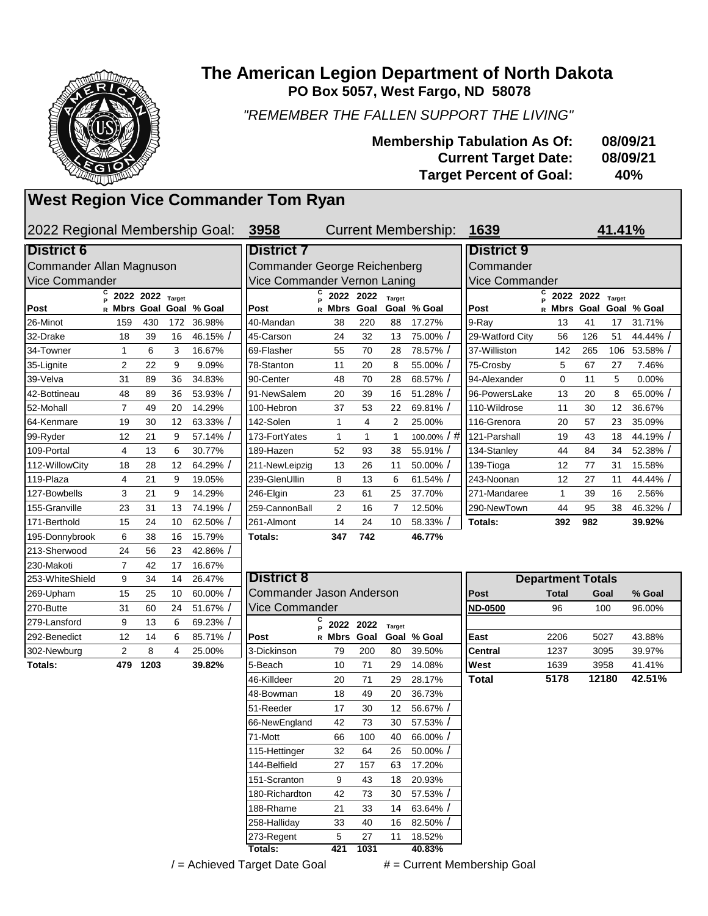

| 269-Upham    | 15                | 25   | 10 | 60.00%/  | ICommander Jason Anderson |             |           |        |             | <b>Post</b>    | Total | Goal  | % Goal |
|--------------|-------------------|------|----|----------|---------------------------|-------------|-----------|--------|-------------|----------------|-------|-------|--------|
| 270-Butte    | 31                | 60   | 24 | 51.67% / | Vice Commander            |             |           |        |             | <b>ND-0500</b> | 96    | 100   | 96.00% |
| 279-Lansford | 9                 | 13   | 6  | 69.23%   |                           | c           | 2022 2022 | Target |             |                |       |       |        |
| 292-Benedict | $12 \overline{ }$ | 14   | 6  | 85.71%   | Post                      | R Mbrs Goal |           |        | Goal % Goal | East           | 2206  | 5027  | 43.88% |
| 302-Newburg  | $\overline{2}$    | 8    | 4  | 25.00%   | 3-Dickinson               | 79          | 200       | 80     | 39.50%      | <b>Central</b> | 1237  | 3095  | 39.97% |
| Totals:      | 479               | 1203 |    | 39.82%   | 5-Beach                   | 10          | 71        | 29     | 14.08%      | West           | 1639  | 3958  | 41.41% |
|              |                   |      |    |          | 46-Killdeer               | 20          | 71        | 29     | 28.17%      | <b>Total</b>   | 5178  | 12180 | 42.51% |
|              |                   |      |    |          | 48-Bowman                 | 18          | 49        | 20     | 36.73%      |                |       |       |        |
|              |                   |      |    |          | 51-Reeder                 | 17          | 30        | 12     | 56.67%      |                |       |       |        |
|              |                   |      |    |          | 66-NewEngland             | 42          | 73        | 30     | 57.53%      |                |       |       |        |
|              |                   |      |    |          | 71-Mott                   | 66          | 100       | 40     | 66.00%      |                |       |       |        |
|              |                   |      |    |          | 115-Hettinger             | 32          | 64        | 26     | 50.00%      |                |       |       |        |
|              |                   |      |    |          | 144-Belfield              | 27          | 157       | 63     | 17.20%      |                |       |       |        |
|              |                   |      |    |          | 151-Scranton              | 9           | 43        | 18     | 20.93%      |                |       |       |        |
|              |                   |      |    |          | 180-Richardton            | 42          | 73        | 30     | 57.53%      |                |       |       |        |
|              |                   |      |    |          | 188-Rhame                 | 21          | 33        | 14     | 63.64%      |                |       |       |        |
|              |                   |      |    |          | 258-Halliday              | 33          | 40        | 16     | 82.50%      |                |       |       |        |
|              |                   |      |    |          | 273-Regent                | 5           | 27        | 11     | 18.52%      |                |       |       |        |
|              |                   |      |    |          | Гotals:                   | 421         | 1031      |        | 40.83%      |                |       |       |        |

| / = Achieved Target Date Goal | # = Current Membership Goal |
|-------------------------------|-----------------------------|
|-------------------------------|-----------------------------|

**42.51%**